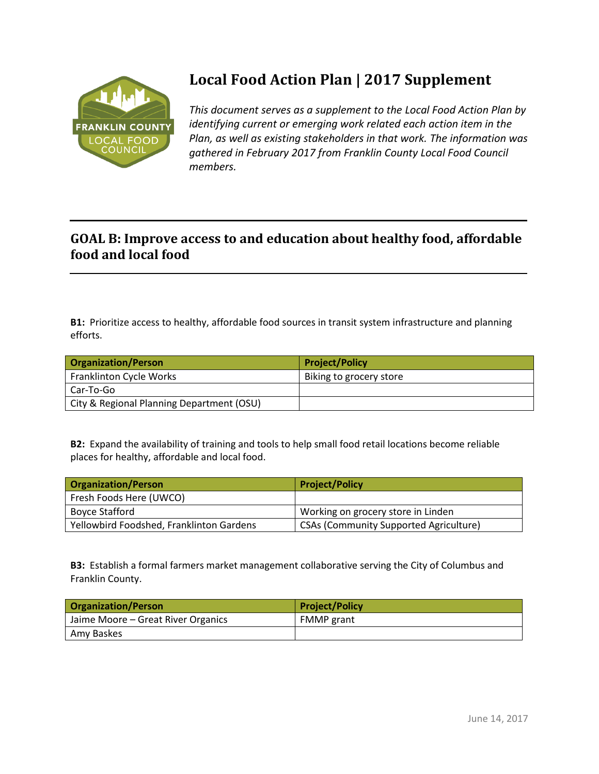

## **Local Food Action Plan | 2017 Supplement**

*This document serves as a supplement to the Local Food Action Plan by identifying current or emerging work related each action item in the Plan, as well as existing stakeholders in that work. The information was gathered in February 2017 from Franklin County Local Food Council members.* 

## **GOAL B: Improve access to and education about healthy food, affordable food and local food**

**B1:** Prioritize access to healthy, affordable food sources in transit system infrastructure and planning efforts.

| <b>Organization/Person</b>                | <b>Project/Policy</b>   |
|-------------------------------------------|-------------------------|
| Franklinton Cycle Works                   | Biking to grocery store |
| Car-To-Go                                 |                         |
| City & Regional Planning Department (OSU) |                         |

**B2:** Expand the availability of training and tools to help small food retail locations become reliable places for healthy, affordable and local food.

| <b>Organization/Person</b>               | <b>Project/Policy</b>                         |
|------------------------------------------|-----------------------------------------------|
| Fresh Foods Here (UWCO)                  |                                               |
| Boyce Stafford                           | Working on grocery store in Linden            |
| Yellowbird Foodshed, Franklinton Gardens | <b>CSAs (Community Supported Agriculture)</b> |

**B3:** Establish a formal farmers market management collaborative serving the City of Columbus and Franklin County.

| <b>Organization/Person</b>         | <b>Project/Policy</b> |
|------------------------------------|-----------------------|
| Jaime Moore – Great River Organics | <b>FMMP</b> grant     |
| Amy Baskes                         |                       |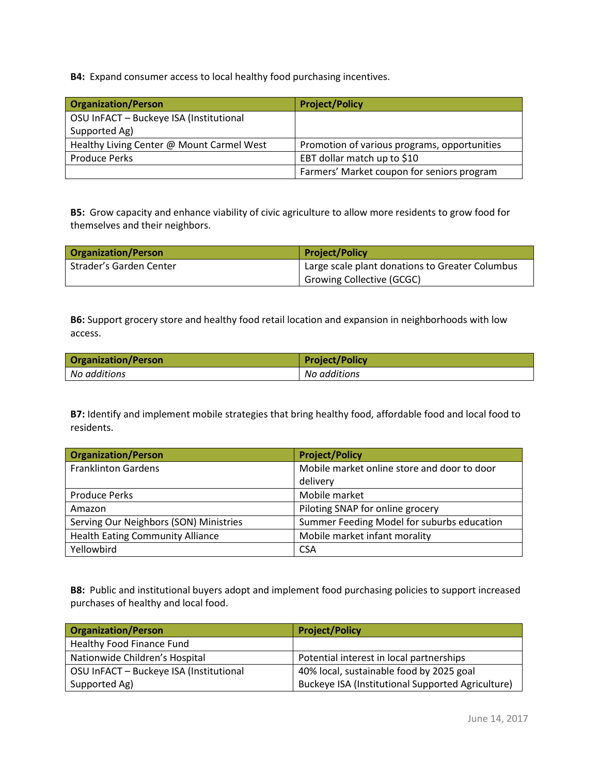**B4:** Expand consumer access to local healthy food purchasing incentives.

| <b>Organization/Person</b>                | <b>Project/Policy</b>                        |
|-------------------------------------------|----------------------------------------------|
| OSU InFACT - Buckeye ISA (Institutional   |                                              |
| Supported Ag)                             |                                              |
| Healthy Living Center @ Mount Carmel West | Promotion of various programs, opportunities |
| <b>Produce Perks</b>                      | EBT dollar match up to \$10                  |
|                                           | Farmers' Market coupon for seniors program   |

**B5:** Grow capacity and enhance viability of civic agriculture to allow more residents to grow food for themselves and their neighbors.

| <b>Organization/Person</b> | <b>Project/Policy</b>                           |
|----------------------------|-------------------------------------------------|
| Strader's Garden Center    | Large scale plant donations to Greater Columbus |
|                            | <b>Growing Collective (GCGC)</b>                |

**B6:** Support grocery store and healthy food retail location and expansion in neighborhoods with low access.

| <b>Organization/Person</b> | <b>Project/Policy</b> |
|----------------------------|-----------------------|
| No additions               | No additions          |

**B7:** Identify and implement mobile strategies that bring healthy food, affordable food and local food to residents.

| <b>Organization/Person</b>              | <b>Project/Policy</b>                       |
|-----------------------------------------|---------------------------------------------|
| <b>Franklinton Gardens</b>              | Mobile market online store and door to door |
|                                         | delivery                                    |
| <b>Produce Perks</b>                    | Mobile market                               |
| Amazon                                  | Piloting SNAP for online grocery            |
| Serving Our Neighbors (SON) Ministries  | Summer Feeding Model for suburbs education  |
| <b>Health Eating Community Alliance</b> | Mobile market infant morality               |
| Yellowbird                              | <b>CSA</b>                                  |

**B8:** Public and institutional buyers adopt and implement food purchasing policies to support increased purchases of healthy and local food.

| <b>Organization/Person</b>              | <b>Project/Policy</b>                             |
|-----------------------------------------|---------------------------------------------------|
| Healthy Food Finance Fund               |                                                   |
| Nationwide Children's Hospital          | Potential interest in local partnerships          |
| OSU InFACT - Buckeye ISA (Institutional | 40% local, sustainable food by 2025 goal          |
| Supported Ag)                           | Buckeye ISA (Institutional Supported Agriculture) |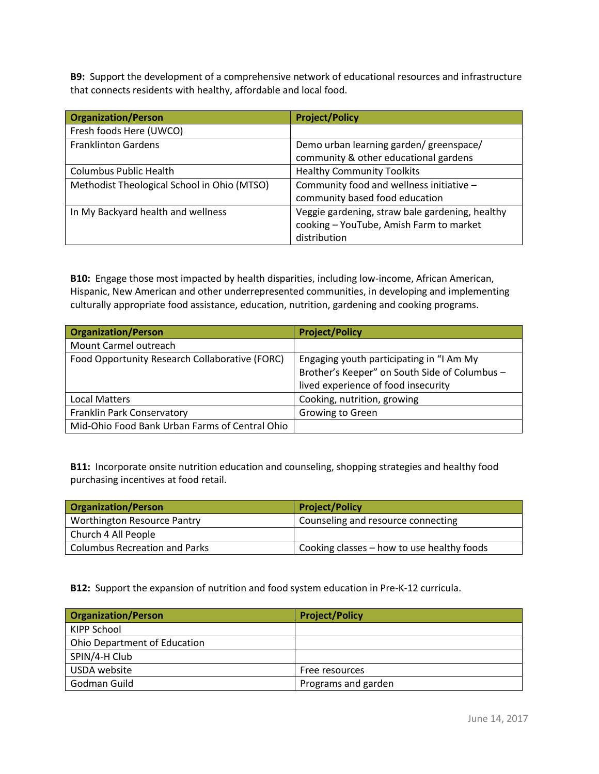**B9:** Support the development of a comprehensive network of educational resources and infrastructure that connects residents with healthy, affordable and local food.

| <b>Organization/Person</b>                  | <b>Project/Policy</b>                           |
|---------------------------------------------|-------------------------------------------------|
| Fresh foods Here (UWCO)                     |                                                 |
| <b>Franklinton Gardens</b>                  | Demo urban learning garden/ greenspace/         |
|                                             | community & other educational gardens           |
| <b>Columbus Public Health</b>               | <b>Healthy Community Toolkits</b>               |
| Methodist Theological School in Ohio (MTSO) | Community food and wellness initiative -        |
|                                             | community based food education                  |
| In My Backyard health and wellness          | Veggie gardening, straw bale gardening, healthy |
|                                             | cooking - YouTube, Amish Farm to market         |
|                                             | distribution                                    |

**B10:** Engage those most impacted by health disparities, including low-income, African American, Hispanic, New American and other underrepresented communities, in developing and implementing culturally appropriate food assistance, education, nutrition, gardening and cooking programs.

| <b>Organization/Person</b>                     | <b>Project/Policy</b>                         |
|------------------------------------------------|-----------------------------------------------|
| Mount Carmel outreach                          |                                               |
| Food Opportunity Research Collaborative (FORC) | Engaging youth participating in "I Am My      |
|                                                | Brother's Keeper" on South Side of Columbus - |
|                                                | lived experience of food insecurity           |
| Local Matters                                  | Cooking, nutrition, growing                   |
| Franklin Park Conservatory                     | <b>Growing to Green</b>                       |
| Mid-Ohio Food Bank Urban Farms of Central Ohio |                                               |

**B11:** Incorporate onsite nutrition education and counseling, shopping strategies and healthy food purchasing incentives at food retail.

| <b>Organization/Person</b>           | <b>Project/Policy</b>                      |
|--------------------------------------|--------------------------------------------|
| <b>Worthington Resource Pantry</b>   | Counseling and resource connecting         |
| Church 4 All People                  |                                            |
| <b>Columbus Recreation and Parks</b> | Cooking classes - how to use healthy foods |

**B12:** Support the expansion of nutrition and food system education in Pre-K-12 curricula.

| <b>Organization/Person</b>          | <b>Project/Policy</b> |
|-------------------------------------|-----------------------|
| KIPP School                         |                       |
| <b>Ohio Department of Education</b> |                       |
| SPIN/4-H Club                       |                       |
| USDA website                        | Free resources        |
| Godman Guild                        | Programs and garden   |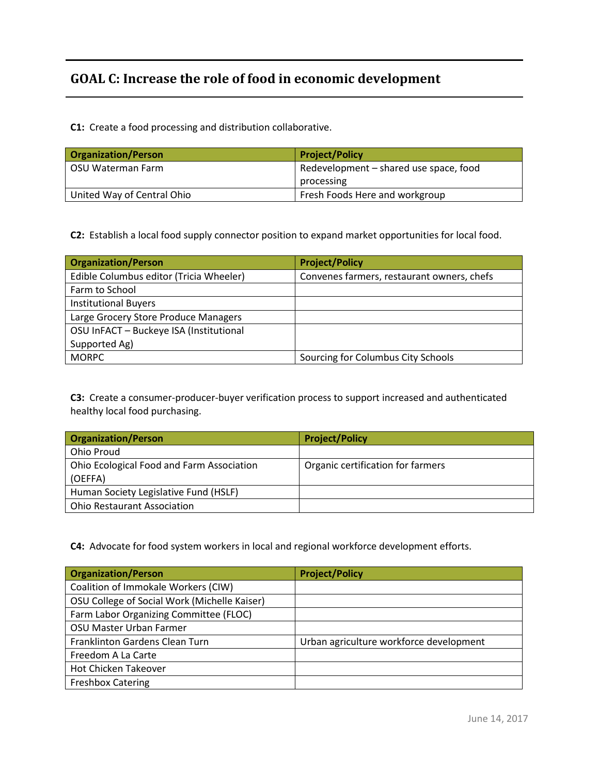## **GOAL C: Increase the role of food in economic development**

**C1:** Create a food processing and distribution collaborative.

| <b>Organization/Person</b> | <b>Project/Policy</b>                  |
|----------------------------|----------------------------------------|
| OSU Waterman Farm          | Redevelopment – shared use space, food |
|                            | processing                             |
| United Way of Central Ohio | Fresh Foods Here and workgroup         |

**C2:** Establish a local food supply connector position to expand market opportunities for local food.

| <b>Organization/Person</b>              | <b>Project/Policy</b>                      |
|-----------------------------------------|--------------------------------------------|
| Edible Columbus editor (Tricia Wheeler) | Convenes farmers, restaurant owners, chefs |
| Farm to School                          |                                            |
| <b>Institutional Buyers</b>             |                                            |
| Large Grocery Store Produce Managers    |                                            |
| OSU InFACT - Buckeye ISA (Institutional |                                            |
| Supported Ag)                           |                                            |
| <b>MORPC</b>                            | Sourcing for Columbus City Schools         |

**C3:** Create a consumer-producer-buyer verification process to support increased and authenticated healthy local food purchasing.

| <b>Organization/Person</b>                           | <b>Project/Policy</b>             |
|------------------------------------------------------|-----------------------------------|
| Ohio Proud                                           |                                   |
| Ohio Ecological Food and Farm Association<br>(OEFFA) | Organic certification for farmers |
| Human Society Legislative Fund (HSLF)                |                                   |
| <b>Ohio Restaurant Association</b>                   |                                   |

**C4:** Advocate for food system workers in local and regional workforce development efforts.

| <b>Organization/Person</b>                   | <b>Project/Policy</b>                   |
|----------------------------------------------|-----------------------------------------|
| Coalition of Immokale Workers (CIW)          |                                         |
| OSU College of Social Work (Michelle Kaiser) |                                         |
| Farm Labor Organizing Committee (FLOC)       |                                         |
| OSU Master Urban Farmer                      |                                         |
| Franklinton Gardens Clean Turn               | Urban agriculture workforce development |
| Freedom A La Carte                           |                                         |
| Hot Chicken Takeover                         |                                         |
| <b>Freshbox Catering</b>                     |                                         |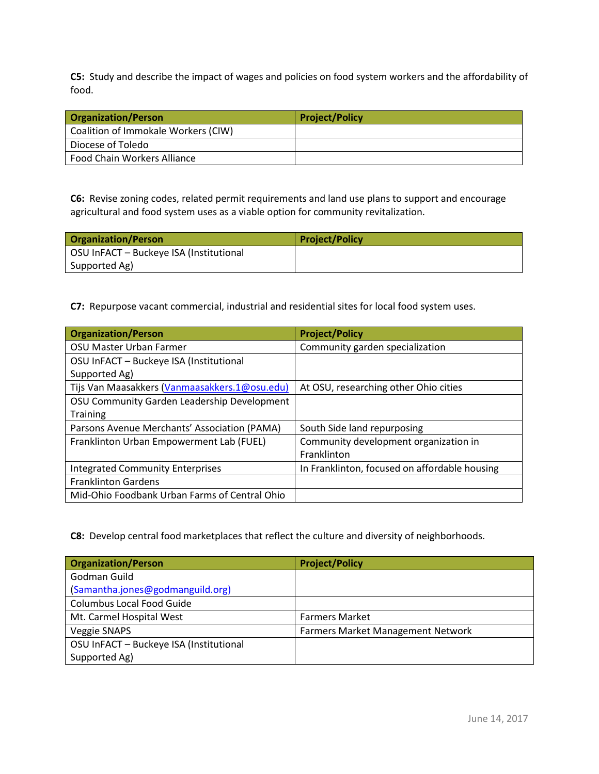**C5:** Study and describe the impact of wages and policies on food system workers and the affordability of food.

| <b>Organization/Person</b>          | <b>Project/Policy</b> |
|-------------------------------------|-----------------------|
| Coalition of Immokale Workers (CIW) |                       |
| Diocese of Toledo                   |                       |
| Food Chain Workers Alliance         |                       |

**C6:** Revise zoning codes, related permit requirements and land use plans to support and encourage agricultural and food system uses as a viable option for community revitalization.

| <b>Organization/Person</b>              | <b>Project/Policy</b> |
|-----------------------------------------|-----------------------|
| OSU InFACT - Buckeye ISA (Institutional |                       |
| Supported Ag)                           |                       |

**C7:** Repurpose vacant commercial, industrial and residential sites for local food system uses.

| <b>Organization/Person</b>                    | <b>Project/Policy</b>                         |
|-----------------------------------------------|-----------------------------------------------|
| OSU Master Urban Farmer                       | Community garden specialization               |
| OSU InFACT - Buckeye ISA (Institutional       |                                               |
| Supported Ag)                                 |                                               |
| Tijs Van Maasakkers (Vanmaasakkers.1@osu.edu) | At OSU, researching other Ohio cities         |
| OSU Community Garden Leadership Development   |                                               |
| <b>Training</b>                               |                                               |
| Parsons Avenue Merchants' Association (PAMA)  | South Side land repurposing                   |
| Franklinton Urban Empowerment Lab (FUEL)      | Community development organization in         |
|                                               | Franklinton                                   |
| <b>Integrated Community Enterprises</b>       | In Franklinton, focused on affordable housing |
| <b>Franklinton Gardens</b>                    |                                               |
| Mid-Ohio Foodbank Urban Farms of Central Ohio |                                               |

**C8:** Develop central food marketplaces that reflect the culture and diversity of neighborhoods.

| <b>Organization/Person</b>              | <b>Project/Policy</b>                    |
|-----------------------------------------|------------------------------------------|
| Godman Guild                            |                                          |
| (Samantha.jones@godmanguild.org)        |                                          |
| <b>Columbus Local Food Guide</b>        |                                          |
| Mt. Carmel Hospital West                | <b>Farmers Market</b>                    |
| Veggie SNAPS                            | <b>Farmers Market Management Network</b> |
| OSU InFACT - Buckeye ISA (Institutional |                                          |
| Supported Ag)                           |                                          |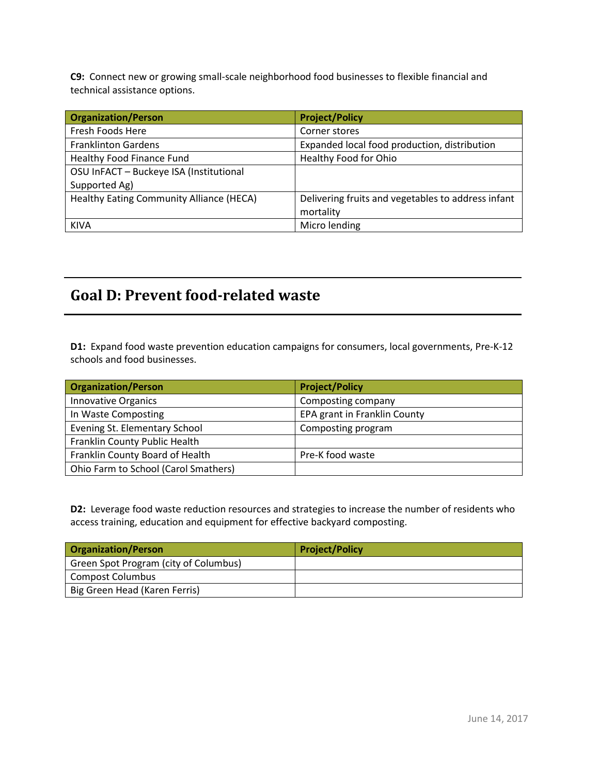**C9:** Connect new or growing small-scale neighborhood food businesses to flexible financial and technical assistance options.

| <b>Organization/Person</b>               | <b>Project/Policy</b>                              |
|------------------------------------------|----------------------------------------------------|
| Fresh Foods Here                         | Corner stores                                      |
| <b>Franklinton Gardens</b>               | Expanded local food production, distribution       |
| Healthy Food Finance Fund                | Healthy Food for Ohio                              |
| OSU InFACT - Buckeye ISA (Institutional  |                                                    |
| Supported Ag)                            |                                                    |
| Healthy Eating Community Alliance (HECA) | Delivering fruits and vegetables to address infant |
|                                          | mortality                                          |
| <b>KIVA</b>                              | Micro lending                                      |

## **Goal D: Prevent food-related waste**

**D1:** Expand food waste prevention education campaigns for consumers, local governments, Pre-K-12 schools and food businesses.

| <b>Organization/Person</b>           | <b>Project/Policy</b>        |
|--------------------------------------|------------------------------|
| <b>Innovative Organics</b>           | Composting company           |
| In Waste Composting                  | EPA grant in Franklin County |
| Evening St. Elementary School        | Composting program           |
| Franklin County Public Health        |                              |
| Franklin County Board of Health      | Pre-K food waste             |
| Ohio Farm to School (Carol Smathers) |                              |

**D2:** Leverage food waste reduction resources and strategies to increase the number of residents who access training, education and equipment for effective backyard composting.

| <b>Organization/Person</b>            | <b>Project/Policy</b> |
|---------------------------------------|-----------------------|
| Green Spot Program (city of Columbus) |                       |
| <b>Compost Columbus</b>               |                       |
| Big Green Head (Karen Ferris)         |                       |